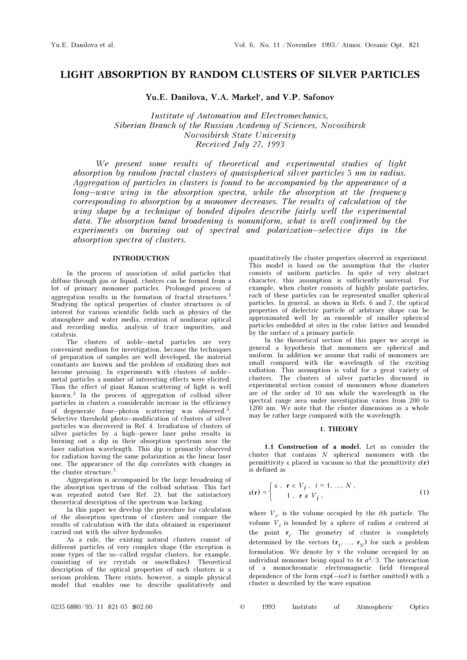# LIGHT ABSORPTION BY RANDOM CLUSTERS OF SILVER PARTICLES

Yu.E. Danilova, V.A. Markel′, and V.P. Safonov

Institute of Automation and Electromechanics, Siberian Branch of the Russian Academy of Sciences, Novosibirsk Novosibirsk State University Received July 27, 1993

We present some results of theoretical and experimental studies of light absorption by random fractal clusters of quasispherical silver particles 5 nm in radius. Aggregation of particles in clusters is found to be accompanied by the appearance of a long–wave wing in the absorption spectra, while the absorption at the frequency corresponding to absorption by a monomer decreases. The results of calculation of the wing shape by a technique of bonded dipoles describe fairly well the experimental data. The absorption band broadening is nonuniform, what is well confirmed by the experiments on burning out of spectral and polarization–selective dips in the absorption spectra of clusters.

## INTRODUCTION

In the process of association of solid particles that diffuse through gas or liquid, clusters can be formed from a lot of primary monomer particles. Prolonged process of aggregation results in the formation of fractal structures.<sup>1</sup> Studying the optical properties of cluster structures is of interest for various scientific fields such as physics of the atmosphere and water media, creation of nonlinear optical and recording media, analysis of trace impurities, and catalysis.

The clusters of noble–metal particles are very convenient medium for investigation, because the techniques of preparation of samples are well developed, the material constants are known and the problem of oxidizing does not become pressing. In experiments with clusters of noble– metal particles a number of interesting effects were elicited. Thus the effect of giant Raman scattering of light is well known.2 In the process of aggregation of colloid silver particles in clusters a considerable increase in the efficiency of degenerate four–photon scattering was observed.3. Selective threshold photo–modification of clusters of silver particles was discovered in Ref. 4. Irradiation of clusters of silver particles by a high–power laser pulse results in burning out a dip in their absorption spectrum near the laser radiation wavelength. This dip is primarily observed for radiation having the same polarization as the linear laser one. The appearance of the dip correlates with changes in the cluster structure.<sup>5</sup>

Aggregation is accompanied by the large broadening of the absorption spectrum of the colloid solution. This fact was repeated noted (see Ref. 2), but the satistactory theoretical description of the spectrum was lacking.

In this paper we develop the procedure for calculation of the absorption spectrum of clusters and compare the results of calculation with the data obtained in experiment carried out with the silver hydrosoles.

As a rule, the existing natural clusters consist of different particles of very complex shape (the exception is some types of the so–called regular clusters, for example, consisting of ice crystals or snowflakes). Theoretical description of the optical properties of such clusters is a serious problem. There exists, however, a simple physical model that enables one to describe qualitatively and

quantitatively the cluster properties observed in experiment. This model is based on the assumption that the cluster consists of uniform particles. In spite of very abstract character, this assumption is sufficiently universal. For example, when cluster consists of highly prolate particles, each of these particles can be represented smaller spherical particles. In general, as shown in Refs. 6 and 7, the optical properties of dielectric particle of arbitrary shape can be approximated well by an ensemble of smaller spherical particles embedded at sites in the cubic lattice and bounded by the surface of a primary particle.

In the theoretical section of this paper we accept in general a hypothesis that monomers are spherical and uniform. In addition we assume that radii of monomers are small compared with the wavelength of the exciting radiation. This assumption is valid for a great variety of clusters. The clusters of silver particles discussed in experimental section consist of monomers whose diameters are of the order of 10 nm while the wavelength in the spectral range area under investigation varies from 200 to 1200 nm. We note that the cluster dimensions as a whole may be rather large compared with the wavelength.

#### 1. THEORY

1.1 Construction of a model. Let us consider the cluster that contains  $N$  spherical monomers with the permittivity ε placed in vacuum so that the permittivity ε(r) is defined as

$$
\epsilon(\mathbf{r}) = \begin{cases} \epsilon, & \mathbf{r} \in V_i, i = 1, ..., N, \\ 1, & \mathbf{r} \notin V_i, \end{cases}
$$
 (1)

where  $V_i$ , is the volume occupied by the *i*th particle. The volume  $V_i$  is bounded by a sphere of radius  $a$  centered at the point  $\mathbf{r}_i$ . The geometry of cluster is completely determined by the vectors  $(\mathbf{r}_1, \ldots, \mathbf{r}_N)$  for such a problem formulation. We denote by v the volume occupied by an individual monomer being equal to  $4\pi a^3/3$ . The interaction of a monochromatic electromagnetic field (temporal dependence of the form  $\exp(-i\omega t)$  is further omitted) with a cluster is described by the wave equation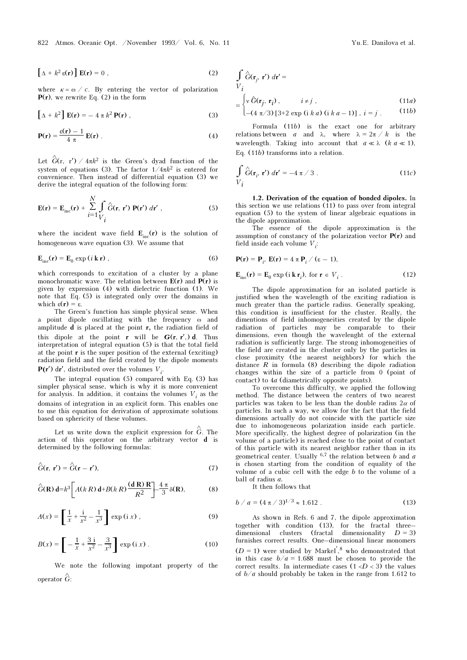$$
\left[\Delta + k^2 \varepsilon(\mathbf{r})\right] \mathbf{E}(\mathbf{r}) = 0 \tag{2}
$$

where  $\kappa = \omega / c$ . By entering the vector of polarization  $P(r)$ , we rewrite Eq. (2) in the form

$$
\left[\Delta + k^2\right] \mathbf{E}(\mathbf{r}) = -4 \pi k^2 \mathbf{P}(\mathbf{r}) \tag{3}
$$

$$
\mathbf{P}(\mathbf{r}) = \frac{\varepsilon(\mathbf{r}) - 1}{4 \pi} \mathbf{E}(\mathbf{r}) \tag{4}
$$

Let  $\hat{G}$ (r, r') / 4πk<sup>2</sup> is the Green's dyad function of the system of equations (3). The factor  $1/4\pi k^2$  is entered for convenience. Then instead of differential equation (3) we derive the integral equation of the following form:

$$
\mathbf{E}(\mathbf{r}) = \mathbf{E}_{\text{inc}}(\mathbf{r}) + \sum_{i=1}^{N} \int_{V_i} \hat{G}(\mathbf{r}, \mathbf{r}') \mathbf{P}(\mathbf{r}') d\mathbf{r}', \qquad (5)
$$

where the incident wave field  $\mathbf{E}_{\text{inc}}(\mathbf{r})$  is the solution of homogeneous wave equation (3). We assume that

$$
\mathbf{E}_{\rm inc}(\mathbf{r}) = \mathbf{E}_0 \exp(i \mathbf{k} \mathbf{r}) \,, \tag{6}
$$

which corresponds to excitation of a cluster by a plane monochromatic wave. The relation between  $E(r)$  and  $P(r)$  is given by expression (4) with dielectric function (1). We note that Eq. (5) is integrated only over the domains in which  $\varepsilon(\mathbf{r}) = \varepsilon$ .

The Green's function has simple physical sense. When a point dipole oscillating with the frequency ω and amplitude  $d$  is placed at the point  $r$ , the radiation field of this dipole at the point **r** will be  $G(r, r')$  d. Thus interpretation of integral equation (5) is that the total field at the point r is the super position of the external (exciting) radiation field and the field created by the dipole moments at the point **F** is the super position of the e.<br>
radiation field and the field created by the<br>  $P(r')$  dr', distributed over the volumes  $V_i$ .

The integral equation (5) compared with Eq. (3) has simpler physical sense, which is why it is more convenient for analysis. In addition, it contains the volumes  $V_i$  as the domains of integration in an explicit form. This enables one to use this equation for derivation of approximate solutions based on sphericity of these volumes.

Let us write down the explicit expression for  $\hat{G}$ . The action of this operator on the arbitrary vector d is determined by the following formulas:

$$
\hat{G}(\mathbf{r}, \mathbf{r}') = \hat{G}(\mathbf{r} - \mathbf{r}'),\tag{7}
$$

$$
\hat{G}(\mathbf{R})\,\mathrm{d} = k^3 \left[ A(k\,R)\,\mathrm{d} + B(k\,R)\,\frac{(\mathrm{d}\,\mathbf{R})\,\mathbf{R}}{R^2} \right] - \frac{4\,\pi}{3}\,\delta(\mathbf{R}),\tag{8}
$$

$$
A(x) = \left[\frac{1}{x} + \frac{i}{x^2} - \frac{1}{x^3}\right] \exp(i x),
$$
 (9)

$$
B(x) = \left[ -\frac{1}{x} + \frac{3}{x^2} - \frac{3}{x^3} \right] \exp(i x) \,. \tag{10}
$$

We note the following impotant property of the operator  $\hat{G}$ :

$$
\int_{V_i} \hat{G}(\mathbf{r}_j, \mathbf{r}') d\mathbf{r}' =
$$
\n
$$
= \begin{cases}\n\sqrt{G}(\mathbf{r}_j, \mathbf{r}_i), & i \neq j, \\
-(4 \pi/3) [3+2 \exp(i k a) (i k a - 1)], i = j.\n\end{cases}
$$
\n(11*a*)

Formula (11b) is the exact one for arbitrary relations between a and  $\lambda$ , where  $\lambda = 2\pi / k$  is the wavelength. Taking into account that  $a \ll \lambda$  ( $k \leq a \ll 1$ ), Eq. (11b) transforms into a relation.

$$
\int_{V_i} \hat{G}(\mathbf{r}_i, \mathbf{r}') d\mathbf{r}' = -4 \pi / 3.
$$
 (11c)

1.2. Derivation of the equation of bonded dipoles. In this section we use relations (11) to pass over from integral equation (5) to the system of linear algebraic equations in the dipole approximation.

The essence of the dipole approximation is the assumption of constancy of the polarization vector  $P(r)$  and field inside each volume  $V_i$ :

$$
\mathbf{P}(\mathbf{r}) = \mathbf{P}_i, \ \mathbf{E}(\mathbf{r}) = 4 \pi \mathbf{P}_i / (\varepsilon - 1),
$$
  

$$
\mathbf{E}_{\text{inc}}(\mathbf{r}) = \mathbf{E}_0 \exp(i \mathbf{k} \mathbf{r}_i), \text{ for } \mathbf{r} \in V_i.
$$
 (12)

The dipole approximation for an isolated particle is justified when the wavelength of the exciting radiation is much greater than the particle radius. Generally speaking, this condition is insufficient for the cluster. Really, the dimentions of field inhomogeneities created by the dipole radiation of particles may be comparable to their dimensions, even though the wavelenght of the external radiation is sufficiently large. The strong inhomogeneities of the field are created in the cluster only by the particles in close proximity (the nearest neighbors) for which the distance  $R$  in formula (8) describing the dipole radiation changes within the size of a particle from 0 (point of contact) to 4a (diametrically opposite points).

To overcome this difficulty, we applied the following method. The distance between the centers of two nearest particles was taken to be less than the double radius  $2\alpha$  of particles. In such a way, we allow for the fact that the field dimensions actually do not coincide with the particle size due to inhomogeneous polarization inside each particle. More specifically, the highest degree of polarization (in the volume of a particle) is reached close to the point of contact of this particle with its nearest neighbor rather than in its geometrical center. Usually  $6.7$  the relation between b and a is chosen starting from the condition of equality of the volume of a cubic cell with the edge  $b$  to the volume of a ball of radius a.

It then follows that

$$
b/a = (4 \pi / 3)^{1/3} \approx 1.612 . \tag{13}
$$

As shown in Refs. 6 and 7, the dipole approximation together with condition (13), for the fractal three– dimensional clusters (fractal dimensionality  $D = 3$ ) furnishes correct results. One–dimensional linear monomers  $(D = 1)$  were studied by Markel<sup>'</sup>,<sup>8</sup> who demonstrated that in this case  $b/a = 1.688$  must be chosen to provide the correct results. In intermediate cases  $(1 < D < 3)$  the values of  $b/a$  should probably be taken in the range from 1.612 to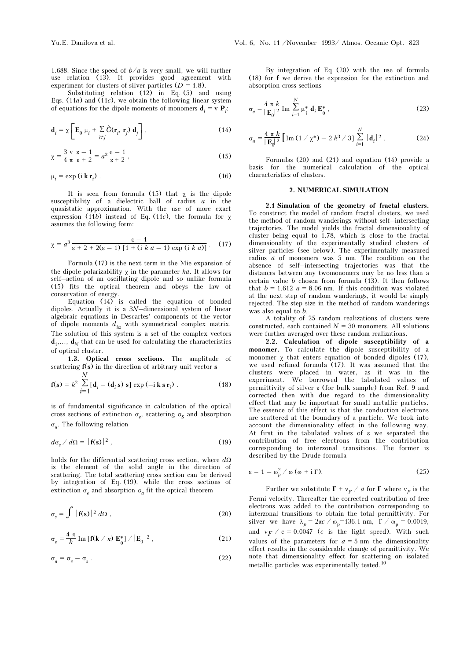1.688. Since the speed of  $b/a$  is very small, we will further use relation (13). It provides good agreement with experiment for clusters of silver particles  $(D = 1.8)$ .

Substituting relation  $(12)$  in Eq. (5) and using Eqs.  $(11a)$  and  $(11c)$ , we obtain the following linear system of equations for the dipole moments of monomers  $\mathbf{d}_i = \mathbf{v} \mathbf{P}_i$ :

$$
\mathbf{d}_{i} = \chi \left[ \mathbf{E}_{0} \mu_{i} + \sum_{i \neq j} \hat{G}(\mathbf{r}_{i}, \mathbf{r}_{j}) \mathbf{d}_{j} \right], \qquad (14)
$$

$$
\chi = \frac{3 \text{ v}}{4 \pi} \frac{\varepsilon - 1}{\varepsilon + 2} = a^3 \frac{\varepsilon - 1}{\varepsilon + 2},\tag{15}
$$

$$
\mu_i = \exp(i \mathbf{k} \mathbf{r}_i) \tag{16}
$$

It is seen from formula (15) that  $\chi$  is the dipole susceptibility of a dielectric ball of radius  $a$  in the quasistatic approximation. With the use of more exact expression (11b) instead of Eq. (11c), the formula for  $\chi$ assumes the following form:

$$
\chi = a^3 \frac{\varepsilon - 1}{\varepsilon + 2 + 2(\varepsilon - 1) \left[ 1 + (\mathrm{i} \; k \; a - 1) \exp \left( \mathrm{i} \; k \; a \right) \right]} \,. \tag{17}
$$

Formula (17) is the next term in the Mie expansion of the dipole polarizability  $\chi$  in the parameter ka. It allows for self–action of an oscillating dipole and so unlike formula (15) fits the optical theorem and obeys the law of conservation of energy.

Equation (14) is called the equation of bonded dipoles. Actually it is a 3N–dimensional system of linear algebraic equations in Descartes' components of the vector of dipole moments  $d_{i\alpha}$  with symmetrical complex matrix. The solution of this system is a set of the complex vectors  $\mathbf{d}_1, \ldots, \mathbf{d}_N$  that can be used for calculating the characteristics of optical cluster.

1.3. Optical cross sections. The amplitude of scattering  $f(s)$  in the direction of arbitrary unit vector  $s$ 

$$
\mathbf{f(s)} = k^2 \sum_{i=1}^{N} [\mathbf{d}_i - (\mathbf{d}_i \, \mathbf{s}) \, \mathbf{s}] \, \exp(-i \, \mathbf{k} \, \mathbf{s} \, \mathbf{r}_i) \,. \tag{18}
$$

is of fundamental significance in calculation of the optical cross sections of extinction  $\sigma_e$ , scattering  $\sigma_s$  and absorption σ<sub>a</sub>. The following relation

$$
d\sigma_s / d\Omega = |\mathbf{f}(s)|^2 , \qquad (19)
$$

holds for the differential scattering cross section, where  $d\Omega$ is the element of the solid angle in the direction of scattering. The total scattering cross section can be derived by integration of Eq. (19), while the cross sections of extinction  $\sigma_e$  and absorption  $\sigma_a$  fit the optical theorem

$$
\sigma_s = \int |f(s)|^2 d\Omega , \qquad (20)
$$

$$
\sigma_e = \frac{4 \pi}{k} \operatorname{Im} \left[ f(k \ / \ \kappa) \ \mathbf{E}_0^* \right] / |\mathbf{E}_0|^2 \ , \tag{21}
$$

$$
\sigma_a = \sigma_e - \sigma_s \tag{22}
$$

By integration of Eq. (20) with the use of formula (18) for f we derive the expression for the extinction and absorption cross sections

$$
\sigma_e = \frac{4 \pi k}{|\mathbf{E}_0|^2} \operatorname{Im} \sum_{i=1}^N \mu_i^* \mathbf{d}_i \mathbf{E}_0^*,
$$
 (23)

$$
\sigma_a = \frac{4 \pi k}{|\mathbf{E}_0|^2} \left[ \text{Im} \left( 1 / \chi^* \right) - 2 k^3 / 3 \right] \sum_{i=1}^N |\mathbf{d}_i|^2 \,. \tag{24}
$$

Formulas (20) and (21) and equation (14) provide a basis for the numerical calculation of the optical characteristics of clusters.

#### 2. NUMERICAL SIMULATION

2.1 Simulation of the geometry of fractal clusters. To construct the model of random fractal clusters, we used the method of random wanderings without self–intersecting trajectories. The model yields the fractal dimensionality of cluster being equal to 1.78, which is close to the fractal dimensionality of the experimentally studied clusters of silver particles (see below). The experimentally measured radius  $a$  of monomers was  $5$  nm. The condition on the absence of self–intersecting trajectories was that the distances between any twomonomers may be no less than a certain value b chosen from formula (13). It then follows that  $b = 1.612$   $a = 8.06$  nm. If this condition was violated at the next step of random wanderings, it would be simply rejected. The step size in the method of random wanderings was also equal to b.

A totality of 25 random realizations of clusters were constructed, each contained  $N = 30$  monomers. All solutions were further averaged over these random realizations.

2.2. Calculation of dipole susceptibility of a monomer. To calculate the dipole susceptibility of a monomer  $\chi$  that enters equation of bonded dipoles (17), we used refined formula (17). It was assumed that the clusters were placed in water, as it was in the experiment. We borrowed the tabulated values of permittivity of silver ε (for bulk sample) from Ref. 9 and corrected then with due regard to the dimensionality effect that may be important for small metallic particles. The essence of this effect is that the conduction electrons are scattered at the boundary of a particle. We took into account the dimensionality effect in the following way. At first in the tabulated values of ε we separated the contribution of free electrons from the contribution corresponding to interzonal transitions. The former is described by the Drude formula

$$
\varepsilon = 1 - \omega_p^2 / \omega (\omega + i \Gamma). \tag{25}
$$

Further we substitute  $\Gamma + v_F / a$  for  $\Gamma$  where  $v_F$  is the Fermi velocity. Thereafter the corrected contribution of free electrons was added to the contribution corresponding to interzonal transitions to obtain the total permittivity. For silver we have  $\lambda_p = 2\pi c / \omega_p = 136.1$  nm,  $\Gamma / \omega_p = 0.0019$ , and  $v_F / c = 0.0047$  (*c* is the light speed). With such values of the parameters for  $a = 5$  nm the dimensionality effect results in the considerable change of permittivity. We note that dimensionality effect for scattering on isolated metallic particles was experimentally tested.<sup>10</sup>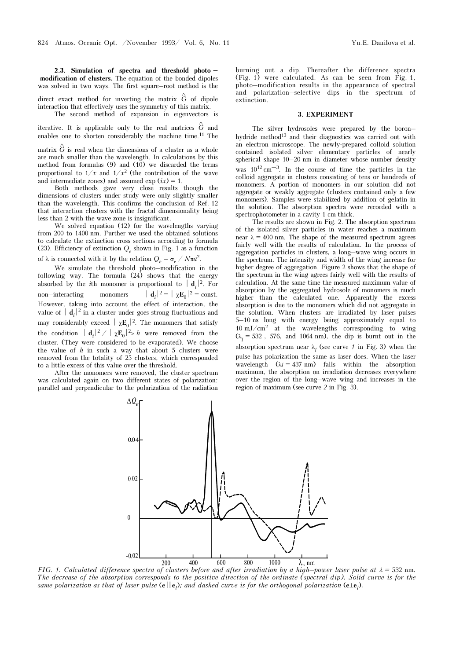2.3. Simulation of spectra and threshold photo – modification of clusters. The equation of the bonded dipoles was solved in two ways. The first square–root method is the

direct exact method for inverting the matrix  $\hat{G}$  of dipole interaction that effectively uses the symmetry of this matrix.

The second method of expansion in eigenvectors is

iterative. It is applicable only to the real matrices  $\hat{G}$  and enables one to shorten considerably the machine time.11 The

matrix  $\hat{G}$  is real when the dimensions of a cluster as a whole are much smaller than the wavelength. In calculations by this method from formulas  $(9)$  and  $(10)$  we discarded the terms proportional to  $1/x$  and  $1/x^2$  (the contribution of the wave and intermediate zones) and assumed  $\exp (ix) = 1$ .

Both methods gave very close results though the dimensions of clusters under study were only slightly smaller than the wavelength. This confirms the conclusion of Ref. 12 that interaction clusters with the fractal dimensionality being less than 2 with the wave zone is insignificant.

We solved equation (12) for the wavelengths varying from 200 to 1400 nm. Further we used the obtained solutions to calculate the extinction cross sections according to formula (23). Efficiency of extinction  $Q_e$  shown in Fig. 1 as a function of λ is connected with it by the relation  $Q_e = \sigma_e / N \pi a^2$ .

We simulate the threshold photo–modification in the following way. The formula  $(24)$  shows that the energy absorbed by the *i*th monomer is proportional to  $\mathbf{d}_i^2$ . For non–interacting monomers  $|\mathbf{d}_i|^2 = |\chi \mathbf{E}_0|^2 = \text{const.}$ However, taking into account the effect of interaction, the value of  $\vert \mathbf{d}_i \vert^2$  in a cluster under goes strong fluctuations and may considerably exceed  $|\chi \mathbf{E}_0|^2$ . The monomers that satisfy the condition  $|\mathbf{d}_i|^2 / |\chi \mathbf{E}_0|^2 > h$  were removed from the cluster. (They were considered to be evaporated). We choose the value of  $h$  in such a way that about 5 clusters were removed from the totality of 25 clusters, which corresponded to a little excess of this value over the threshold.

After the monomers were removed, the cluster spectrum was calculated again on two different states of polarization: parallel and perpendicular to the polarization of the radiation

burning out a dip. Thereafter the difference spectra (Fig. 1) were calculated. As can be seen from Fig. 1, photo–modification results in the appearance of spectral and polarization–selective dips in the spectrum of extinction.

#### 3. EXPERIMENT

The silver hydrosoles were prepared by the boron– hydride method<sup>13</sup> and their diagnostics was carried out with an electron microscope. The newly-prepared colloid solution contained isolated silver elementary particles of nearly spherical shape 10–20 nm in diameter whose number density was  $10^{12}$  cm<sup>-3</sup>. In the course of time the particles in the colloid aggregate in clusters consisting of tens or hundreds of monomers. A portion of monomers in our solution did not aggregate or weakly aggregate (clusters contained only a few monomers). Samples were stabilized by addition of gelatin in the solution. The absorption spectra were recorded with a spectrophotometer in a cavity 1 cm thick.

The results are shown in Fig. 2. The absorption spectrum of the isolated silver particles in water reaches a maximum near  $\lambda = 400$  nm. The shape of the measured spectrum agrees fairly well with the results of calculation. In the process of aggregation particles in clusters, a long–wave wing occurs in the spectrum. The intensity and width of the wing increase for higher degree of aggregation. Figure 2 shows that the shape of the spectrum in the wing agrees fairly well with the results of calculation. At the same time the measured maximum value of absorption by the aggregated hydrosole of monomers is much higher than the calculated one. Apparently the excess absorption is due to the monomers which did not aggregate in the solution. When clusters are irradiated by laser pulses 5–10 ns long with energy being approximately equal to  $10 \text{ mJ/cm}^2$  at the wavelengths corresponding to wing  $(\lambda_1 = 532, 576, \text{ and } 1064 \text{ nm})$ , the dip is burnt out in the absorption spectrum near  $\lambda_l$  (see curve 1 in Fig. 3) when the pulse has polarization the same as laser does. When the laser wavelength  $(\lambda = 437 \text{ nm})$  falls within the absorption maximum, the absorption on irradiation decreases everywhere over the region of the long–wave wing and increases in the region of maximum (see curve 2 in Fig. 3).



 $200$  400 600 800 1000  $\lambda$ , nm<br>FIG. 1. Calculated difference spectra of clusters before and after irradiation by a high–power laser pulse at λ = 532 nm. The decrease of the absorption corresponds to the positive direction of the ordinate (spectral dip). Solid curve is for the same polarization as that of laser pulse ( $e||e_l$ ); and dashed curve is for the orthogonal polarization ( $e\bot e_l$ ).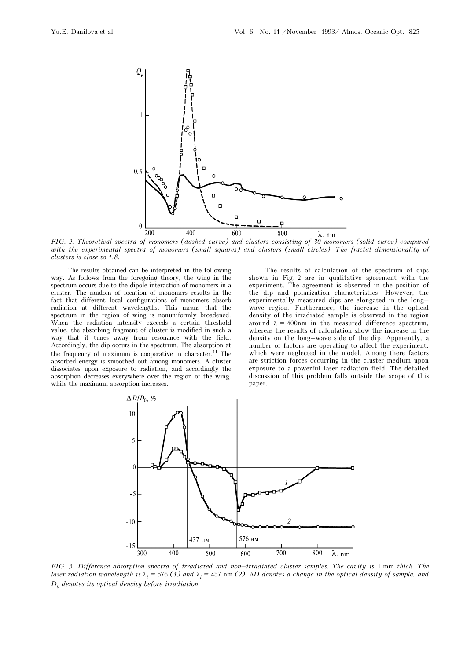

FIG. 2. Theoretical spectra of monomers (dashed curve) and clusters consisting of 30 monomers (solid curve) compared with the experimental spectra of monomers (small squares) and clusters (small circles). The fractal dimensionality of clusters is close to 1.8.

The results obtained can be interpreted in the following way. As follows from the foregoing theory, the wing in the spectrum occurs due to the dipole interaction of monomers in a cluster. The random of location of monomers results in the fact that different local configurations of monomers absorb radiation at different wavelengths. This means that the spectrum in the region of wing is nonuniformly broadened. When the radiation intensity exceeds a certain threshold value, the absorbing fragment of cluster is modified in such a way that it tunes away from resonance with the field. Accordingly, the dip occurs in the spectrum. The absorption at the frequency of maximum is cooperative in character.11 The absorbed energy is smoothed out among monomers. A cluster dissociates upon exposure to radiation, and accordingly the absorption decreases everywhere over the region of the wing, while the maximum absorption increases.

The results of calculation of the spectrum of dips shown in Fig. 2 are in qualitative agreement with the experiment. The agreement is observed in the position of the dip and polarization characteristics. However, the experimentally measured dips are elongated in the long– wave region. Furthermore, the increase in the optical density of the irradiated sample is observed in the region around  $\lambda = 400$ nm in the measured difference spectrum, whereas the results of calculation show the increase in the density on the long–wave side of the dip. Apparently, a number of factors are operating to affect the experiment, which were neglected in the model. Among there factors are striction forces occurring in the cluster medium upon exposure to a powerful laser radiation field. The detailed discussion of this problem falls outside the scope of this paper.



FIG. 3. Difference absorption spectra of irradiated and non–irradiated cluster samples. The cavity is 1 mm thick. The laser radiation wavelength is  $\lambda_l$  = 576(1) and  $\lambda_l$  = 437 nm (2).  $\Delta D$  denotes a change in the optical density of sample, and  $D_0$  denotes its optical density before irradiation.